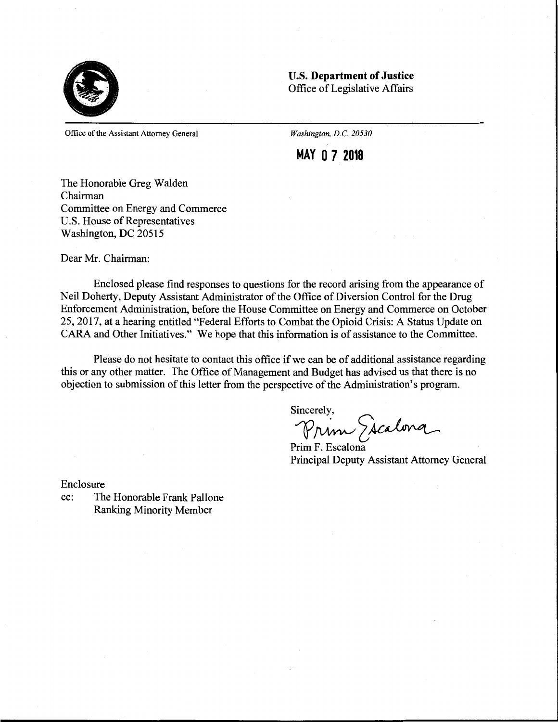

**U.S. Department of Justice**  Office of Legislative Affairs

Office of the Assistant Attorney General

*Washington, D.C. 20530* 

**MAY O 7 2018** 

The Honorable Greg Walden Chairman Committee on Energy and Commerce U.S. House of Representatives Washington, DC 20515

Dear Mr. Chairman:

Enclosed please find responses to questions for the record arising from the appearance of Neil Doherty, Deputy Assistant Administrator of the Office of Diversion Control for the Drug Enforcement Administration, before the House Committee on Energy and Commerce on October 25, 2017, at a hearing entitled "Federal Efforts to Combat the Opioid Crisis: A Status Update on CARA and Other Initiatives." We hope that this information is of assistance to the Committee.

Please do not hesitate to contact this office if we can be of additional assistance regarding this or any other matter. The Office of Management and Budget has advised us that there is no objection to submission of this letter from the perspective of the Administration's program.

Sincerely,

Prim Escalona

Prim F. Escalona Principal Deputy Assistant Attorney General

Enclosure

 $\mathcal{A}$ 

cc: The Honorable Frank Pallone Ranking Minority Member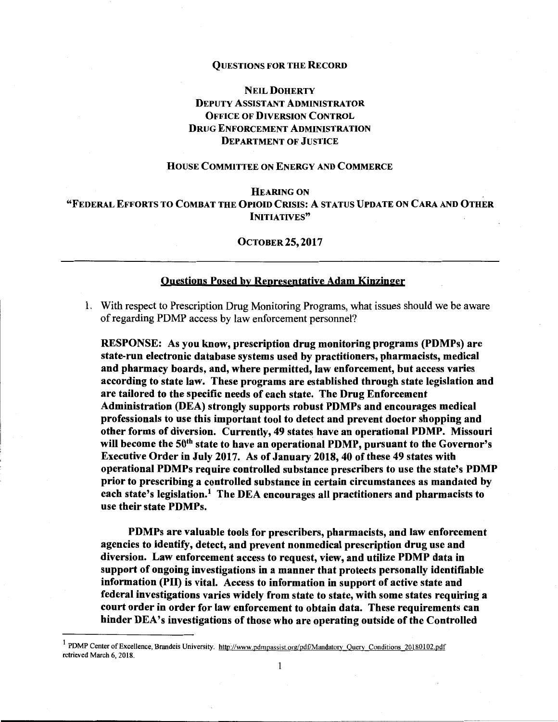#### QUESTIONS FOR THE RECORD

# NEIL DOHERTY DEPUTY ASSISTANT ADMINISTRATOR OFFICE OF DIVERSION CONTROL DRUG ENFORCEMENT ADMINISTRATION DEPARTMENT OF JUSTICE

### HOUSE COMMITTEE ON ENERGY AND COMMERCE

## **HEARING ON** "FEDERAL EFFORTS TO COMBAT THE **OPIOID** CRISIS: A STATUS UPDATE ON CARA AND OTHER INITIATIVES"

## OCTOBER 25, 2017

## Questions Posed by Representative Adam Kinzinger

1. With respect to Prescription Drug Monitoring Programs, what issues should we be aware of regarding PDMP access by law enforcement personnel?

RESPONSE: As you know, prescription drug monitoring programs (PDMPs) are state-run electronic database systems used by practitioners, pharmacists, medical and pharmacy boards, and, where permitted, law enforcement, but access varies according to state law. These programs are established through state legislation and are tailored to the specific needs of each state. The Drug Enforcement Administration (DEA) strongly supports robust PDMPs and encourages medical professionals to use this important tool to detect and prevent doctor shopping and other forms of diversion. Currently, 49 states have an operational POMP. Missouri will become the 50<sup>th</sup> state to have an operational PDMP, pursuant to the Governor's Executive Order in July 2017. As of January 2018, 40 of these 49 states with operational PDMPs require controlled substance prescribers to use the state's POMP prior to prescribing a controlled substance in certain circumstances as mandated by each state's legislation.<sup>1</sup> The DEA encourages all practitioners and pharmacists to use their state PDMPs.

PDMPs are valuable tools for prescribers, pharmacists, and law enforcement agencies to identify, detect, and prevent nonmedical prescription drug use and diversion. Law enforcement access to request, view, and utilize **POMP** data in support of ongoing investigations in a manner that protects personally identifiable information **(PH)** is vital. Access to information in support of active state and federal investigations varies widely from state to state, with some states requiring a court order in order for law enforcement to obtain data. These requirements can hinder DEA's investigations of those who are operating outside of the Controlled

1

<sup>&</sup>lt;sup>1</sup> PDMP Center of Excellence, Brandeis University. http://www.pdmpassist.org/pdf/Mandatory Query Conditions 20180102.pdf retrieved March 6, 2018.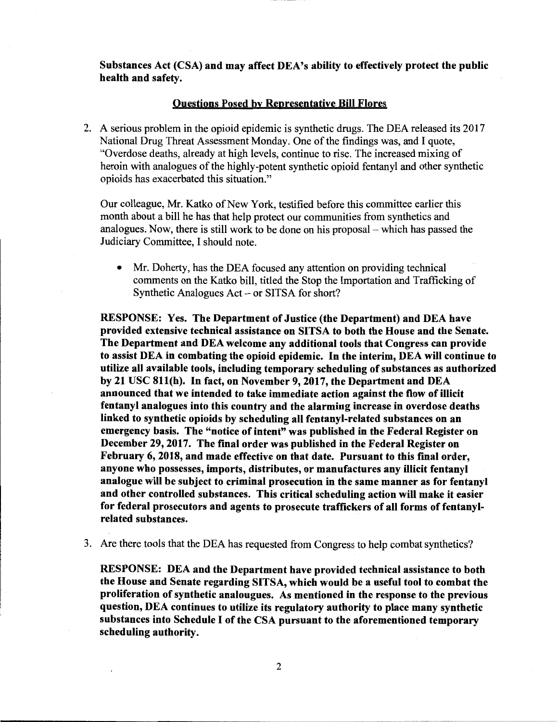**Substances Act (CSA) and may affect DEA's ability to effectively protect the public health and safety.** 

## **Questions Posed by Representative Bill Flores**

2. A serious problem in the opioid epidemic is synthetic drugs. The DEA released its 2017 National Drug Threat Assessment Monday. One of the findings was, and I quote, "Overdose deaths, already at high levels, continue to rise. The increased mixing of heroin with analogues of the highly-potent synthetic opioid fentanyl and other synthetic opioids has exacerbated this situation."

Our colleague, Mr. Katko of New York, testified before this committee earlier this month about a bill he has that help protect our communities from synthetics and analogues. Now, there is still work to be done on his proposal-which has passed the Judiciary Committee, I should note.

• Mr. Doherty, has the DEA focused any attention on providing technical comments on the Katko bill, titled the Stop the Importation and Trafficking of Synthetic Analogues  $Act - or SITSA$  for short?

**RESPONSE: Yes. The Department of Justice (the Department) and DEA have provided extensive technical assistance on SITSA to both the House and the Senate. The Department and DEA welcome any additional tools that Congress can provide to assist DEA in combating the opioid epidemic. In the interim, DEA will continue to utilize all available tools, including temporary scheduling of substances as authorized by 21 USC 81l(h). In fact, on November 9, 2017, the Department and DEA announced that we intended to take immediate action against the flow of illicit fentanyl analogues into this country and the alarming increase in overdose deaths linked to synthetic opioids by scheduling all fentanyl-related substances on an emergency basis. The "notice of intent" was published in the Federal Register on December 29, 2017. The final order was published in the Federal Register on February 6, 2018, and made effective on that date. Pursuant to this final order, anyone who possesses, imports, distributes, or manufactures any illicit fentanyl analogue will be subject to criminal prosecution in the same manner as for fentanyl and other controlled substances. This critical scheduling action will make** it **easier for federal prosecutors and agents to prosecute traffickers of all forms of fentanylrelated substances.** 

3. Are there tools that the DEA has requested from Congress to help combat synthetics?

**RESPONSE: DEA and the Department have provided technical assistance to both the House and Senate regarding SITSA, which would be a useful tool to combat the proliferation of synthetic analougues. As mentioned in the response to the previous question, DEA continues to utilize its regulatory authority to place many synthetic substances into Schedule** I **of the CSA pursuant to the aforementioned temporary scheduling authority.**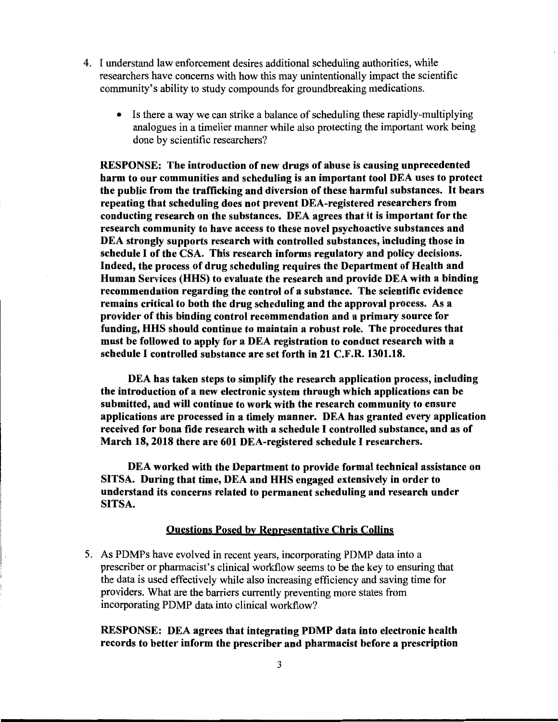- 4. I understand law enforcement desires additional scheduling authorities, while researchers have concerns with how this may unintentionally impact the scientific community's ability to study compounds for groundbreaking medications.
	- Is there a way we can strike a balance of scheduling these rapidly-multiplying analogues in a timelier manner while also protecting the important work being done by scientific researchers?

**RESPONSE: The introduction of new drugs of abuse is causing unprecedented harm to our communities and scheduling is an important tool DEA uses to protect the public from the trafficking and diversion of these harmful substances.** It **bears repeating that scheduling does not prevent DEA-registered researchers from conducting research on the substances. DEA agrees that it is important for the research community to have access to these novel psychoactive substances and DEA strongly supports research with controlled substances, including those in schedule** I **of the CSA. This research informs regulatory and policy decisions. Indeed, the process of drug scheduling requires the Department of Health and**  Human Services **(HHS)** to evaluate the research and provide DEA with a binding recommendation regarding the control of a substance. The scientific evidence remains critical to both the drug scheduling and the approval process. As a provider of this binding control recommendation and a primary source for funding, HHS should continue to maintain a robust role. The procedures that **must be followed to apply for a DEA registration to conduct research with a schedule** I **controlled substance are set forth in 21 C.F.R. 1301.18.** 

**DEA has taken steps to simplify the research application process, including the introduction of a new electronic system through which applications can be submitted, and will continue to work with the research community to ensure applications are processed in a timely manner. DEA has granted every application received for bona fide research with a schedule** I **controlled substance, and as of March 18, 2018 there are 601 DEA-registered schedule** I **researchers.** 

**DEA worked with the Department to provide formal technical assistance on SITSA. During that time, DEA and HHS engaged extensively in order to understand its concerns related to permanent scheduling and research under SITSA.** 

## **Questions Posed by Representative Chris Collins**

5. As PDMPs have evolved in recent years, incorporating PDMP data into a prescriber or pharmacist's clinical workflow seems to be the key to ensuring that the data is used effectively while also increasing efficiency and saving time for providers. What are the barriers currently preventing more states from incorporating PDMP data into clinical workflow?

**RESPONSE: DEA agrees that integrating PDMP data into electronic health records to better inform the prescriber and pharmacist before a prescription**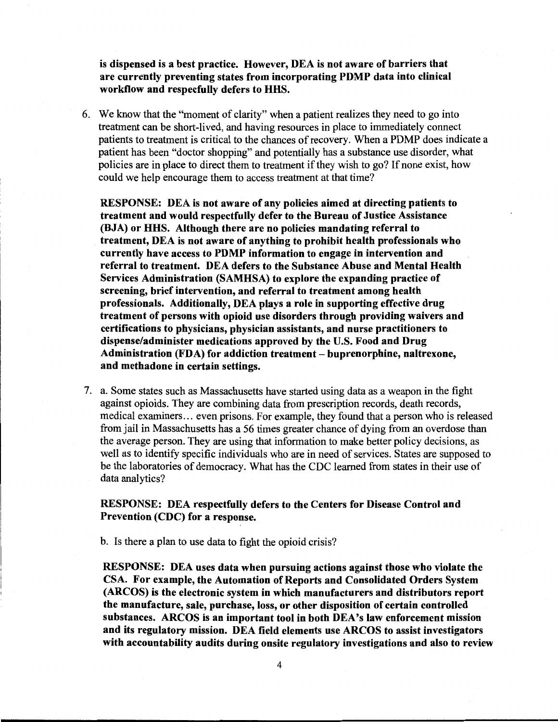**is dispensed is a best practice. However, DEA is not aware of barriers that are currently preventing states from incorporating PDMP data into clinical workflow and respecfully defers to HHS.** 

6. We know that the "moment of clarity" when a patient realizes they need to go into treatment can be short-lived, and having resources in place to immediately connect patients to treatment is critical to the chances of recovery. When a PDMP does indicate a patient has been "doctor shopping" and potentially has a substance use disorder, what policies are in place to direct them to treatment if they wish to go? If none exist, how could we help encourage them to access treatment at that time?

**RESPONSE: DEA is not aware of any policies aimed at directing patients to treatment and would respectfully defer to the Bureau of Justice Assistance (BJA) or HHS. Although there are no policies mandating referral to treatment, DEA is not aware of anything to prohibit health professionals who currently have access to PDMP information to engage in intervention and referral to treatment. DEA defers to the Substance Abuse and Mental Health Services Administration (SAMHSA) to explore the expanding practice of screening, brief intervention, and referral to treatment among health professionals. Additionally, DEA plays a role in supporting effective drug treatment of persons with opioid use disorders through providing waivers and certifications to physicians, physician assistants, and nurse practitioners to dispense/administer medications approved by the U.S. Food and Drug Administration (FDA) for addiction treatment** - **buprenorphine, naltrexone, and methadone in certain settings.** 

7. a. Some states such as Massachusetts have started using data as a weapon in the fight against opioids. They are combining data from prescription records, death records, medical examiners ... even prisons. For example, they found that a person who is released from jail in Massachusetts has a 56 times greater chance of dying from an overdose than the average person. They are using that information to make better policy decisions, as well as to identify specific individuals who are in need of services. States are supposed to be the laboratories of democracy. What has the CDC learned from states in their use of data analytics?

## **RESPONSE: DEA respectfully defers to the Centers for Disease Control and Prevention (CDC) for a response.**

b. Is there a plan to use data to fight the opioid crisis?

**RESPONSE: DEA uses data when pursuing actions against those who violate the CSA. For example, the Automation of Reports and Consolidated Orders System (ARCOS) is the electronic system in which manufacturers and distributors report the manufacture, sale, purchase, loss, or other disposition of certain controlled substances. ARCOS is an important tool in both DEA's law enforcement mission and its regulatory mission. DEA field elements use ARCOS to assist investigators with accountability audits during onsite regulatory investigations and also to review**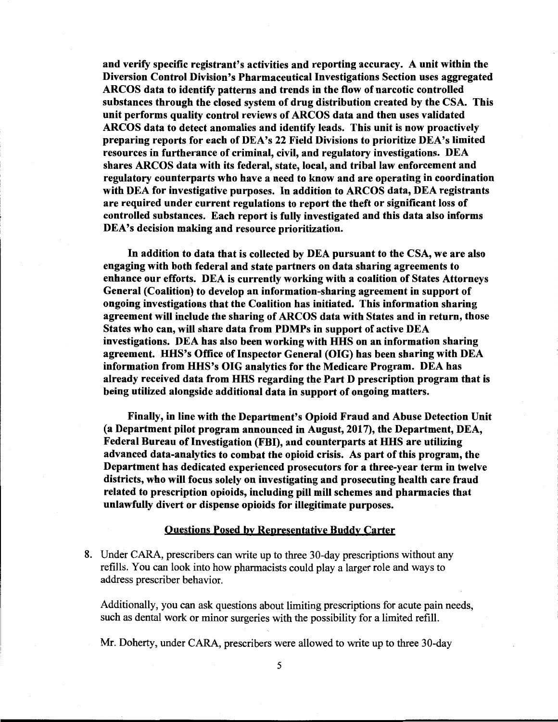and verify specific registrant's activities and reporting accuracy. A unit within the Diversion Control Division's Pharmaceutical Investigations Section uses aggregated ARCOS data to identify patterns and trends in the flow of narcotic controlled substances through the closed system of drug distribution created by the CSA. This unit performs quality control reviews of ARCOS data and then uses validated ARCOS data to detect anomalies and identify leads. This unit is now proactively preparing reports for each of DEA's 22 Field Divisions to prioritize DEA's limited resources in furtherance of criminal, civil, and regulatory investigations. DEA shares ARCOS data with its federal, state, local, and tribal law enforcement and regulatory counterparts who have a need to know and are operating in coordination with DEA for investigative purposes. In addition to ARCOS data, DEA registrants are required under current regulations to report the theft or significant loss of controlled substances. Each report is fully investigated and this data also informs DEA's decision making and resource prioritization.

In addition to data that is collected by DEA pursuant to the CSA, we are also engaging with both federal and state partners on data sharing agreements to enhance our efforts. DEA is currently working with a coalition of States Attorneys General (Coalition) to develop an information-sharing agreement in support of ongoing investigations that the Coalition has initiated. This information sharing agreement will include the sharing of ARCOS data with States and in return, those States who can, will share data from PDMPs in support of active DEA investigations. DEA has also been working with HHS on an information sharing agreement. HHS's Office of Inspector General (OIG) has been sharing with DEA information from HHS's OIG analytics for the Medicare Program. DEA has already received data from HHS regarding the Part D prescription program that is being utilized alongside additional data in support of ongoing matters.

Finally, in line with the Department's Opioid Fraud and Abuse Detection Unit (a Department pilot program announced in August, 2017), the Department, DEA, Federal Bureau of Investigation (FBI), and counterparts at HHS are utilizing advanced data-analytics to combat the opioid crisis. As part of this program, the Department has dedicated experienced prosecutors for a three-year term in twelve districts, who will focus solely on investigating and prosecuting health care fraud related to prescription opioids, including pill mill schemes and pharmacies that unlawfully divert or dispense opioids for illegitimate purposes.

### Questions Posed by Representative Buddy Carter

8. Under CARA, prescribers can write up to three 30-day prescriptions without any refills. You can look into how pharmacists could play a larger role and ways to address prescriber behavior.

Additionally, you can ask questions about limiting prescriptions for acute pain needs, such as dental work or minor surgeries with the possibility for a limited refill.

Mr. Doherty, under CARA, prescribers were allowed to write up to three 30-day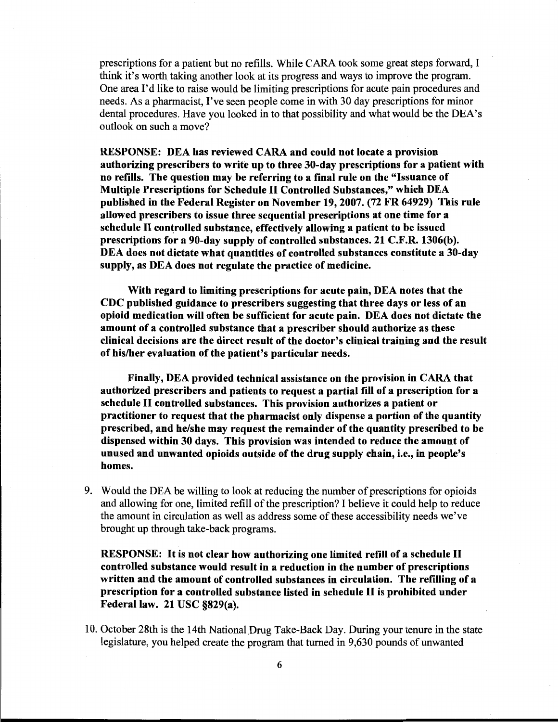prescriptions for a patient but no refills. While CARA took some great steps forward, I think it's worth taking another look at its progress and ways to improve the program. One area I'd like to raise would be limiting prescriptions for acute pain procedures and needs. As a pharmacist, I've seen people come in with 30 day prescriptions for minor dental procedures. Have you looked in to that possibility and what would be the DEA's outlook on such a move?

**RESPONSE: DEA has reviewed CARA and could not locate a provision authorizing prescribers to write up to three 30-day prescriptions for a patient with no refills. The question may be referring to a final rule on the "Issuance of Multiple Prescriptions for Schedule** II **Controlled Substances," which DEA published in the Federal Register on November 19, 2007. (72 FR 64929) This rule allowed prescribers to issue three sequential prescriptions at one time for a**  schedule II controlled substance, effectively allowing a patient to be issued **prescriptions for a 90-day supply of controlled substances. 21 C.F.R. 1306(b). DEA does not dictate what quantities of controlled substances constitute a 30-day supply, as DEA does not regulate the practice of medicine.** 

**With regard to limiting prescriptions for acute pain, DEA notes that the CDC published guidance to prescribers suggesting that three days or less of an opioid medication will often be sufficient for acute pain. DEA does not dictate the amount of a controlled substance that a prescriber should authorize as these clinical decisions are the direct result of the doctor's clinical training and the result of his/her evaluation of the patient's particular needs.** 

**Finally, DEA provided technical assistance on the provision in CARA that authorized prescribers and patients to request a partial fill of a prescription for a schedule** II **controlled substances. This provision authorizes a patient or practitioner to request that the pharmacist only dispense a portion of the quantity prescribed, and he/she may request the remainder of the quantity prescribed to be dispensed within 30 days. This provision was intended to reduce the amount of unused and unwanted opioids outside of the drug supply chain, i.e., in people's homes.** 

9. Would the DEA be willing to look at reducing the number of prescriptions for opioids and allowing for one, limited refill of the prescription? I believe it could help to reduce the amount in circulation as well as address some of these accessibility needs we've brought up through take-back programs.

**RESPONSE:** It **is not clear how authorizing one limited refill of a schedule** II **controlled substance would result in a reduction in the number of prescriptions written and the amount of controlled substances in circulation. The refilling of a prescription for a controlled substance listed in schedule** II **is prohibited under Federal law. 21 USC §829(a).** 

10. October 28th is the 14th National Drug Take-Back Day. During your tenure in the state legislature, you helped create the program that turned in 9,630 pounds of unwanted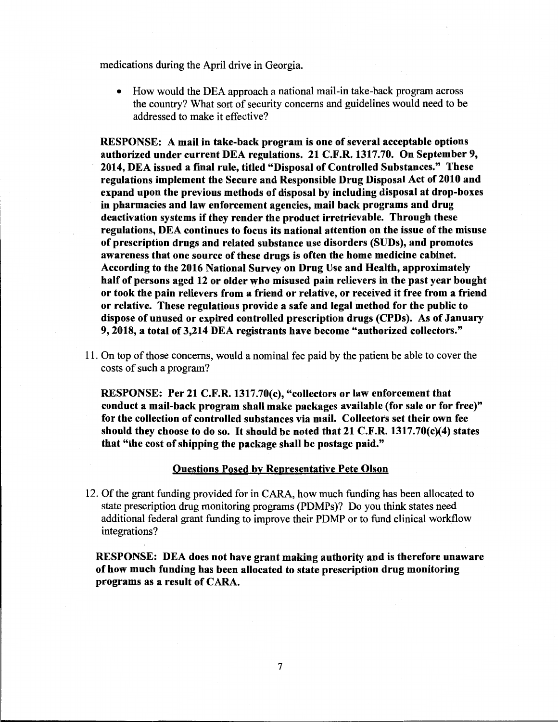medications during the April drive in Georgia.

• How would the DEA approach a national mail-in take-back program across the country? What sort of security concerns and guidelines would need to be addressed to make it effective?

RESPONSE: A mail in take-back program is one of several acceptable options authorized under current DEA regulations. 21 C.F.R. 1317.70. On September 9, 2014, DEA issued a final rule, titled "Disposal of Controlled Substances." These regulations implement the Secure and Responsible Drug Disposal Act of 2010 and expand upon the previous methods of disposal by including disposal at drop-boxes in pharmacies and law enforcement agencies, mail back programs and drug deactivation systems if they render the product irretrievable. Through these regulations, DEA continues to focus its national attention on the issue of the misuse of prescription drugs and related substance use disorders (SUDs), and promotes awareness that one source of these drugs is often the home medicine cabinet. According to the 2016 National Survey on Drug Use and Health, approximately half of persons aged 12 or older who misused pain relievers in the past year bought or took the pain relievers from a friend or relative, or received it free from a friend or relative. These regulations provide a safe and legal method for the public to dispose of unused or expired controlled prescription drugs (CPDs). As of January 9, 2018, a total of 3,214 DEA registrants have become "authorized collectors."

11. On top of those concerns, would a nominal fee paid by the patient be able to cover the costs of such a program?

RESPONSE: Per 21 C.F.R. 1317.70(c), "collectors or law enforcement that conduct a mail-back program shall make packages available (for sale or for free)" for the collection of controlled substances via mail. Collectors set their own fee should they choose to do so. It should be noted that 21 C.F.R. 1317.70(c)(4) states that "the cost of shipping the package shall be postage paid."

## Questions Posed by Representative Pete Olson

12. Of the grant funding provided for in CARA, how much funding has been allocated to state prescription drug monitoring programs (PDMPs)? Do you think states need additional federal grant funding to improve their PDMP or to fund clinical workflow integrations?

RESPONSE: DEA does not have grant making authority and is therefore unaware of how much funding has been allocated to state prescription drug monitoring programs as a result of CARA.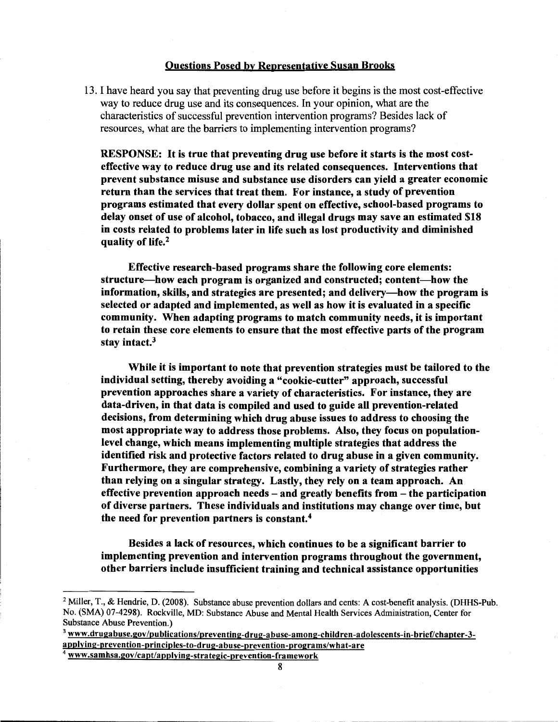## Questions Posed by Representative Susan Brooks

13. I have heard you say that preventing drug use before it begins is the most cost-effective way to reduce drug use and its consequences. In your opinion, what are the characteristics of successful prevention intervention programs? Besides lack of resources, what are the barriers to implementing intervention programs?

RESPONSE: It is true that preventing drug use before it starts is the most costeffective way to reduce drug use and its related consequences. Interventions that prevent substance misuse and substance use disorders can yield a greater economic return than the services that treat them. For instance, a study of prevention programs estimated that every dollar spent on effective, school-based programs to delay onset of use of alcohol, tobacco, and illegal drugs may save an estimated \$18 in costs related to problems later in life such as lost productivity and diminished quality of life.<sup>2</sup>

**Effective research-based programs share the following core elements: structure-how each program is organized and constructed; content-how the information, skills, and strategies are presented; and delivery-how the program is selected or adapted and implemented, as well as how it is evaluated in a specific community. When adapting programs to match community needs, it is important to retain these core elements to ensure that the most effective parts of the program stay intact.** <sup>3</sup>

**While it is important to note that prevention strategies must be tailored to the individual setting, thereby avoiding a "cookie-cutter" approach, successful prevention approaches share a variety of characteristics. For instance, they are data-driven, in that data is compiled and used to guide all prevention-related decisions, from determining which drug abuse issues to address to choosing the most appropriate way to address those problems. Also, they focus on populationlevel change, which means implementing multiple strategies that address the identified risk and protective factors related to drug abuse in a given community. Furthermore, they are comprehensive, combining a variety of strategies rather than relying on a singular strategy. Lastly, they rely on a team approach. An effective prevention approach needs** - **and greatly benefits from** - **the participation of diverse partners. These individuals and institutions may change over time, but**  the need for prevention partners is constant.<sup>4</sup>

**Besides a lack of resources, which continues to be a significant barrier to implementing prevention and intervention programs throughout the government, other barriers include insufficient training and technical assistance opportunities** 

<sup>&</sup>lt;sup>2</sup> Miller, T., & Hendrie, D. (2008). Substance abuse prevention dollars and cents: A cost-benefit analysis. (DHHS-Pub. No. (SMA) 07-4298). Rockville, MD: Substance Abuse and Mental Health Services Administration, Center for Substance Abuse Prevention.)

<sup>&</sup>lt;sup>3</sup> www.drugabuse.gov/publications/preventing-drug-abuse-among-children-adolescents-in-brief/chapter-3applying-prevention-principles-to-drug-abuse-prevention-programs/what-are

<sup>4</sup>www.samhsa.gov/capt/applying-strategic-prevention-framework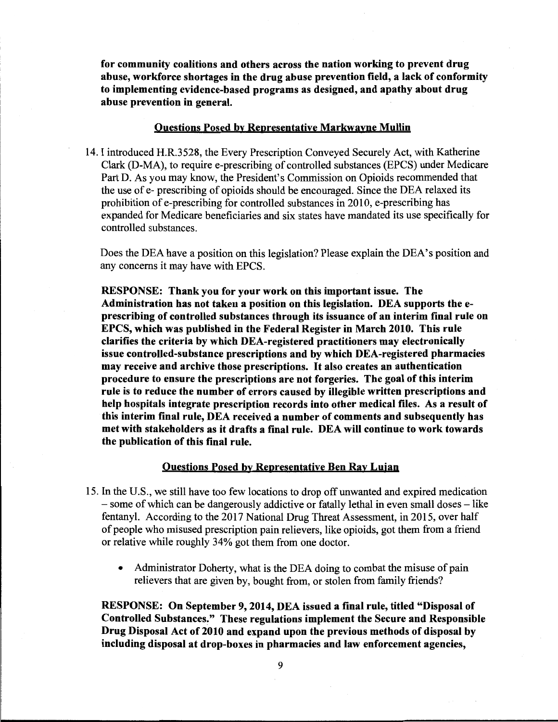**for community coalitions and others across the nation working to prevent drug abuse, workforce shortages in the drug abuse prevention field, a lack of conformity to implementing evidence-based programs as designed, and apathy about drug abuse prevention in general.** 

## **Questions Posed by Representative Markwayne Mullin**

14. I introduced H.R.3528, the Every Prescription Conveyed Securely Act, with Katherine Clark (D-MA), to require e-prescribing of controlled substances (EPCS) under Medicare Part D. As you may know, the President's Commission on Opioids recommended that the use of e- prescribing of opioids should be encouraged. Since the DEA relaxed its prohibition of e-prescribing for controlled substances in 2010, e-prescribing has expanded for Medicare beneficiaries and six states have mandated its use specifically for controlled substances.

Does the DEA have a position on this legislation? Please explain the DEA's position and any concerns it may have with EPCS.

**RESPONSE: Thank you for your work on this important issue. The Administration has not taken a position on this legislation. DEA supports the eprescribing of controlled substances through its issuance of an interim final rule on EPCS, which was published in the Federal Register in March 2010. This rule clarifies the criteria by which DEA-registered practitioners may electronically issue controlled-substance prescriptions and by which DEA-registered pharmacies may receive and archive those prescriptions.** It **also creates an authentication procedure to ensure the prescriptions are not forgeries. The goal of this interim rule is to reduce the number of errors caused by illegible written prescriptions and help hospitals integrate prescription records into other medical files. As a result of this interim final rule, DEA received a number of comments and subsequently has met with stakeholders as it drafts a final rule. DEA will continue to work towards the publication of this final rule.** 

### **Questions Posed by Representative Ben Ray Luian**

- 15. In the U.S., we still have too few locations to drop off unwanted and expired medication - some of which can be dangerously addictive or fatally lethal in even small doses - like fentanyl. According to the 2017 National Drug Threat Assessment, in 2015, over half of people who misused prescription pain relievers, like opioids, got them from a friend or relative while roughly 34% got them from one doctor.
	- Administrator Doherty, what is the DEA doing to combat the misuse of pain relievers that are given by, bought from, or stolen from family friends?

**RESPONSE: On September 9, 2014, DEA issued a final rule, titled "Disposal of Controlled Substances/' These regulations implement the Secure and Responsible Drug Disposal Act of 2010 and expand upon the previous methods of disposal by including disposal at drop-boxes in pharmacies and law enforcement agencies,**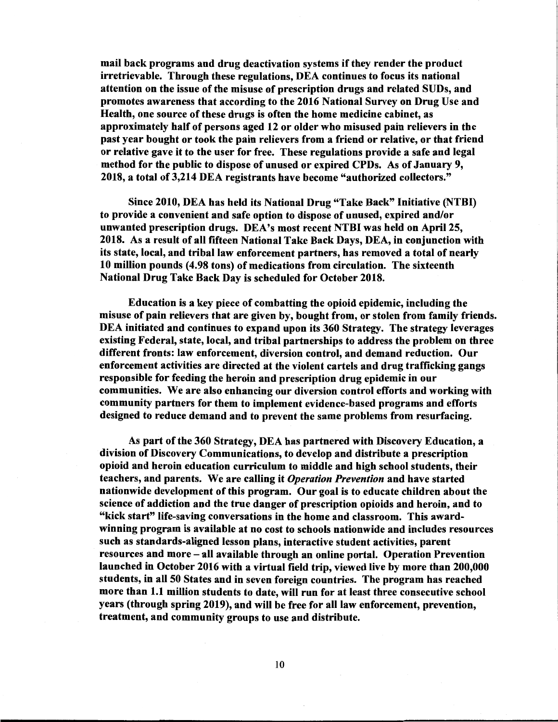mail back programs and drug deactivation systems if they render the product irretrievable. Through these regulations, DEA continues to focus its national attention on the issue of the misuse of prescription drugs and related SUDs, and promotes awareness that according to the 2016 National Survey on Drug Use and Health, one source of these drugs is often the home medicine cabinet, as approximately half of persons aged 12 or older who misused pain relievers in the past year bought or took the pain relievers from a friend or relative, or that friend or relative gave it to the user for free. These regulations provide a safe and legal method for the public to dispose of unused or expired CPDs. As of January 9, 2018, a total of 3,214 DEA registrants have become "authorized collectors."

Since 2010, DEA has held its National Drug "Take Back" Initiative (NTBI) to provide a convenient and safe option to dispose of unused, expired and/or unwanted prescription drugs. DEA's most recent NTBI was held on April 25, 2018. As a result of all fifteen National Take Back Days, DEA, in conjunction with its state, local, and tribal law enforcement partners, has removed a total of nearly 10 million pounds (4.98 tons) of medications from circulation. The sixteenth National Drug Take Back Day is scheduled for October 2018.

Education is a key piece of combatting the opioid epidemic, including the misuse of pain relievers that are given by, bought from, or stolen from family friends. DEA initiated and continues to expand upon its 360 Strategy. The strategy leverages existing Federal, state, local, and tribal partnerships to address the problem on three different fronts: law enforcement, diversion control, and demand reduction. Our enforcement activities are directed at the violent cartels and drug trafficking gangs responsible for feeding the heroin and prescription drug epidemic in our communities. We are also enhancing our diversion control efforts and working with community partners for them to implement evidence-based programs and efforts designed to reduce demand and to prevent the same problems from resurfacing.

As part of the 360 Strategy, DEA has partnered with Discovery Education, a division of Discovery Communications, to develop and distribute a prescription opioid and heroin education curriculum to middle and high school students, their teachers, and parents. We are calling it *Operation Prevention* and have started nationwide development of this program. Our goal is to educate children about the science of addiction and the true danger of prescription opioids and heroin, and to "kick start" life-saving conversations in the home and classroom. This awardwinning program is available at no cost to schools nationwide and includes resources such as standards-aligned lesson plans, interactive student activities, parent resources and more - all available through an online portal. Operation Prevention launched in October 2016 with a virtual field trip, viewed live by more than 200,000 students, in all 50 States and in seven foreign countries. The program has reached more than 1.1 million students to date, will run for at least three consecutive school years (through spring 2019), and will be free for all law enforcement, prevention, treatment, and community groups to use and distribute.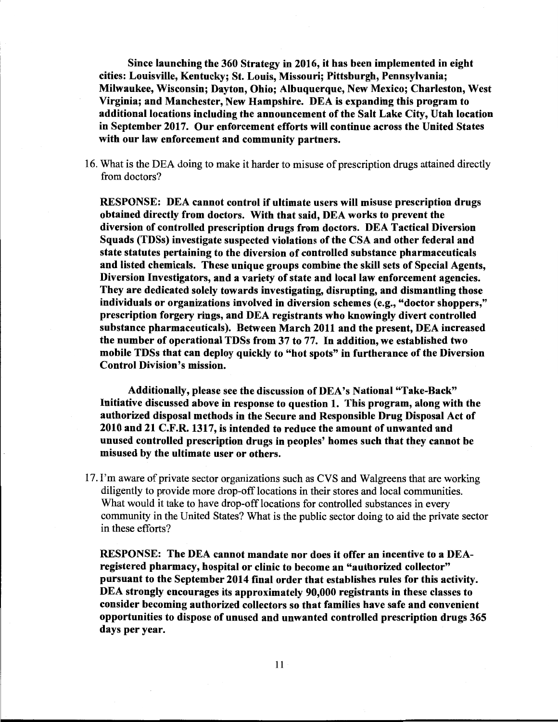**Since launching the 360 Strategy in 2016, it has been implemented in eight cities: Louisville, Kentucky; St. Louis, Missouri; Pittsburgh, Pennsylvania; Milwaukee, Wisconsin; Dayton, Ohio; Albuquerque, New Mexico; Charleston, West Virginia; and Manchester, New Hampshire. DEA is expanding this program to additional locations including the announcement of the Salt Lake City, Utah location in September 2017. Our enforcement efforts will continue across the United States with our law enforcement and community partners.** 

16. What is the DEA doing to make it harder to misuse of prescription drugs attained directly from doctors?

**RESPONSE: DEA cannot control if ultimate users will misuse prescription drugs obtained directly from doctors. With that said, DEA works to prevent the diversion of controlled prescription drugs from doctors. DEA Tactical Diversion Squads (TDSs) investigate suspected violations of the CSA and other federal and state statutes pertaining to the diversion of controlled substance pharmaceuticals and listed chemicals. These unique groups combine the skill sets of Special Agents, Diversion Investigators, and a variety of state and local law enforcement agencies. They are dedicated solely towards investigating, disrupting, and dismantling those individuals or organizations involved in diversion schemes** ( **e.g., "doctor shoppers," prescription forgery rings, and DEA registrants who knowingly divert controlled substance pharmaceuticals). Between March 2011 and the present, DEA increased the number of operational TDSs from 37 to** 77. In **addition, we established two mobile TDSs that can deploy quickly to "hot spots" in furtherance of the Diversion Control Division's mission.** 

**Additionally, please see the discussion of DEA's National "Take-Back" Initiative discussed above in response to question 1. This program, along with the authorized disposal methods in the Secure and Responsible Drug Disposal Act of 2010 and 21 C.F.R. 1317, is intended to reduce the amount of unwanted and unused controlled prescription drugs in peoples' homes such that they cannot be misused by the ultimate user or others.** 

17. I'm aware of private sector organizations such as CVS and Walgreens that are working diligently to provide more drop-off locations in their stores and local communities. What would it take to have drop-off locations for controlled substances in every community in the United States? What is the public sector doing to aid the private sector in these efforts?

**RESPONSE: The DEA cannot mandate nor does it offer an incentive to a DEAregistered pharmacy, hospital or clinic to become an "authorized collector" pursuant to the September 2014 final order that establishes rules for this activity. DEA strongly encourages its approximately 90,000 registrants in these classes to consider becoming authorized collectors so that families have safe and convenient opportunities to dispose of unused and unwanted controlled prescription drugs 365 days per year.**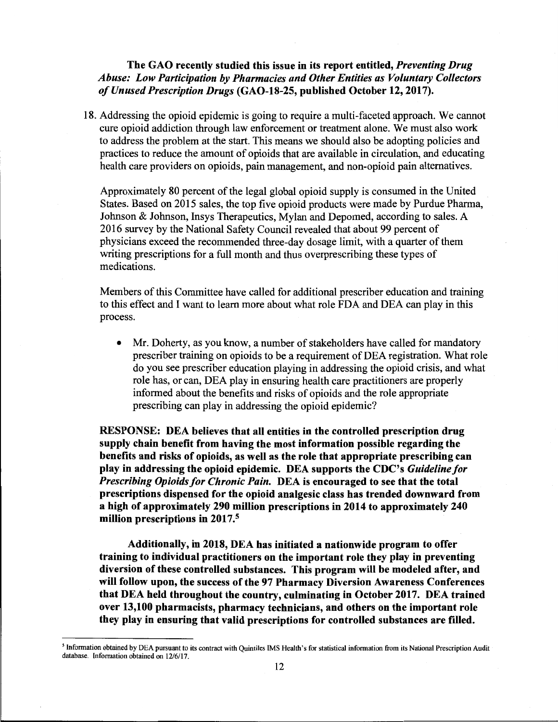## **The GAO recently studied this issue in its report entitled,** *Preventing Drug Abuse: Low Participation* by *Pharmacies and Other Entities as Voluntary Collectors of Unused Prescription Drugs* **(GAO-18-25, published October 12, 2017).**

18. Addressing the opioid epidemic is going to require a multi-faceted approach. We cannot cure opioid addiction through law enforcement or treatment alone. We must also work to address the problem at the start. This means we should also be adopting policies and practices to reduce the amount of opioids that are available in circulation, and educating health care providers on opioids, pain management, and non-opioid pain alternatives.

Approximately 80 percent of the legal global opioid supply is consumed in the United States. Based on 2015 sales, the top five opioid products were made by Purdue Pharma, Johnson & Johnson, Insys Therapeutics, Mylan and Depomed, according to sales. A 2016 survey by the National Safety Council revealed that about 99 percent of physicians exceed the recommended three-day dosage limit, with a quarter of them writing prescriptions for a full month and thus overprescribing these types of medications.

Members of this Committee have called for additional prescriber education and training to this effect and I want to learn more about what role FDA and DEA can play in this process.

• Mr. Doherty, as you know, a number of stakeholders have called for mandatory prescriber training on opioids to be a requirement of DEA registration. What role do you see prescriber education playing in addressing the opioid crisis, and what role has, or can, DEA play in ensuring health care practitioners are properly informed about the benefits and risks of opioids and the role appropriate prescribing can play in addressing the opioid epidemic?

**RESPONSE: DEA believes that all entities in the controlled prescription drug supply chain benefit from having the most information possible regarding the benefits and risks of opioids, as well as the role that appropriate prescribing can play in addressing the opioid epidemic. DEA supports the CDC's** *Guideline for Prescribing Opioids for Chronic Pain.* **DEA is encouraged to see that the total prescriptions dispensed for the opioid analgesic class has trended downward from a high of approximately 290 million prescriptions in 2014 to approximately 240 million prescriptions in 2017.<sup>5</sup>**

**Additionally, in 2018, DEA has initiated a nationwide program to offer training to individual practitioners on the important role they play in preventing diversion of these controlled substances. This program will be modeled after, and will follow upon, the success of the 97 Pharmacy Diversion Awareness Conferences that DEA held throughout the country, culminating in October 2017. DEA trained over 13,100 pharmacists, pharmacy technicians, and others on the important role they play in ensuring that valid prescriptions for controlled substances are filled.** 

<sup>5</sup>Information obtained by DEA pursuant to its contract with Quintiles IMS Health's for statistical information from its National Prescription Audit database. Information obtained on 12/6/17.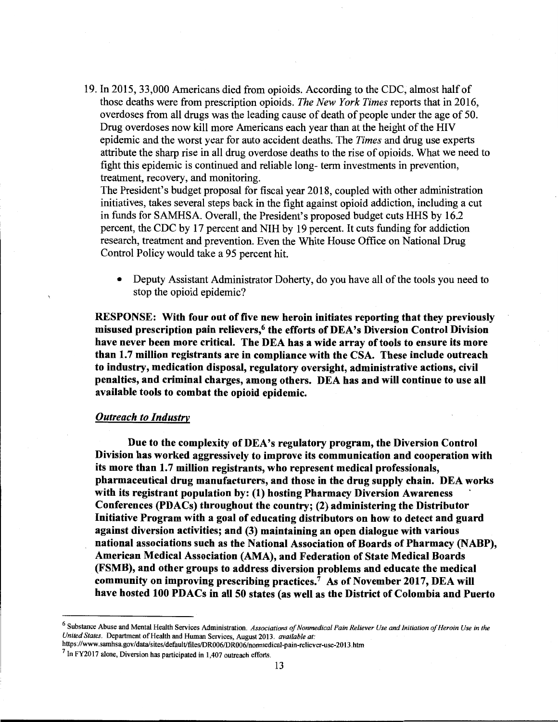19. In 2015, 33,000 Americans died from opioids. According to the CDC, almost half of those deaths were from prescription opioids. *The New York Times* reports that in 2016, overdoses from all drugs was the leading cause of death of people under the age of 50. Drug overdoses now kill more Americans each year than at the height of the HIV epidemic and the worst year for auto accident deaths. The *Times* and drug use experts attribute the sharp rise in all drug overdose deaths to the rise of opioids. What we need to fight this epidemic is continued and reliable long- term investments in prevention, treatment, recovery, and monitoring.

The President's budget proposal for fiscal year 2018, coupled with other administration initiatives, takes several steps back in the fight against opioid addiction, including a cut in funds for SAMHSA. Overall, the President's proposed budget cuts HHS by 16.2 percent, the CDC by 17 percent and NIH by 19 percent. It cuts funding for addiction research, treatment and prevention. Even the White House Office on National Drug Control Policy would take a 95 percent hit.

• Deputy Assistant Administrator Doherty, do you have all of the tools you need to stop the opioid epidemic?

**RESPONSE: With four out of five new heroin initiates reporting that they previously misused prescription pain relievers,<sup>6</sup>the efforts of DEA's Diversion Control Division have never been more critical. The DEA has a wide array of tools to ensure its more than 1. 7 million registrants are in compliance with the CSA. These include outreach to industry, medication disposal, regulatory oversight, administrative actions, civil penalties, and criminal charges, among others. DEA has and will continue to use all available tools to combat the opioid epidemic.** 

### *Outreach to Industry*

**Due to the complexity of DEA's regulatory program, the Diversion Control Division has worked aggressively to improve its communication and cooperation with its more than 1.** 7 **million registrants, who represent medical professionals, pharmaceutical drug manufacturers, and those in the drug supply chain. DEA works with its registrant population by: (1) hosting Pharmacy Diversion Awareness** · **Conferences (PDACs) throughout the country; (2) administering the Distributor Initiative Program with a goal of educating distributors on how to detect and guard against diversion activities; and (3) maintaining an open dialogue with various**  national associations such as the National Association of Boards of Pharmacy (NABP), **American Medical Association (AMA), and Federation of State Medical Boards (FSMB), and other groups to address diversion problems and educate the medical community on improving prescribing practices.<sup>7</sup>As of November 2017, DEA will have hosted 100 PDACs in all 50 states (as well as the District of Colombia and Puerto** 

https ://www.samhsa.gov/ data/sites/ default/files/DR006/DR006/nonmedical-pain-reliever-use-2013 .htm

<sup>&</sup>lt;sup>6</sup> Substance Abuse and Mental Health Services Administration. *Associations of Nonmedical Pain Reliever Use and Initiation of Heroin Use in the United States.* Department of Health and Human Services, August 2013. *available at:* 

 $<sup>7</sup>$  In FY2017 alone, Diversion has participated in 1,407 outreach efforts.</sup>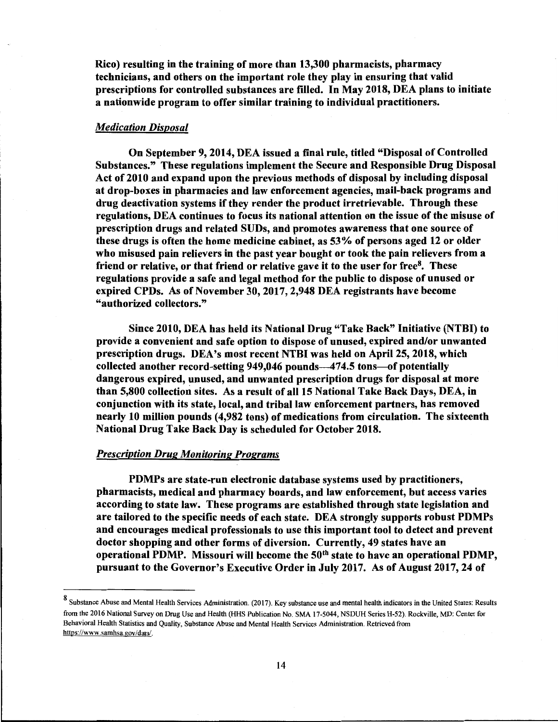Rico) resulting in the training of more than 13,300 pharmacists, pharmacy technicians, and others on the important role they play in ensuring that valid prescriptions for controlled substances are filled. In May 2018, DEA plans to initiate a nationwide program to offer similar training to individual practitioners.

## *Medication Disposal*

On September 9, 2014, DEA issued a final rule, titled "Disposal of Controlled Substances." These regulations implement the Secure and Responsible Drug Disposal Act of 2010 and expand upon the previous methods of disposal by including disposal at drop-boxes in pharmacies and law enforcement agencies, mail-back programs and drug deactivation systems if they render the product irretrievable. Through these regulations, DEA continues to focus its national attention on the issue of the misuse of prescription drugs and related SUDs, and promotes awareness that one source of these drugs is often the home medicine cabinet, as 53% of persons aged 12 or older who misused pain relievers in the past year bought or took the pain relievers from a friend or relative, or that friend or relative gave it to the user for free $8$ . These regulations provide a safe and legal method for the public to dispose of unused or expired CPDs. As of November 30, 2017, 2,948 DEA registrants have become "authorized collectors."

Since 2010, DEA has held its National Drug "Take Back" Initiative (NTBI) to provide a convenient and safe option to dispose of unused, expired and/or unwanted prescription drugs. DEA's most recent NTBI was held on April 25, 2018, which collected another record-setting 949,046 pounds-474.5 tons-of potentially dangerous expired, unused, and unwanted prescription drugs for disposal at more than 5,800 collection sites. As a result of all 15 National Take Back Days, DEA, in conjunction with its state, local, and tribal law enforcement partners, has removed nearly 10 million pounds (4,982 tons) of medications from circulation. The sixteenth National Drug Take Back Day is scheduled for October 2018.

#### *Prescription Drug Monitoring Programs*

PDMPs are state-run electronic database systems used by practitioners, pharmacists, medical and pharmacy boards, and law enforcement, but access varies according to state law. These programs are established through state legislation and are tailored to the specific needs of each state. DEA strongly supports robust PDMPs and encourages medical professionals to use this important tool to detect and prevent doctor shopping and other forms of diversion. Currently, 49 states have an operational PDMP. Missouri will become the 50<sup>th</sup> state to have an operational PDMP, pursuant to the Governor's Executive Order in July 2017. As of August 2017, 24 of

<sup>8</sup> Substance Abuse and Mental Health Services Administration. (2017). Key substance use and mental health indicators in the United States: Results from the 2016 National Survey on Drug Use and Health (HHS Publication No. SMA 17-5044, NSDUH Series H-52). Rockville, MD: Center for Behavioral Health Statistics and Quality, Substance Abuse and Mental Health Services Administration. Retrieved from https://www.samhsa.gov/data/.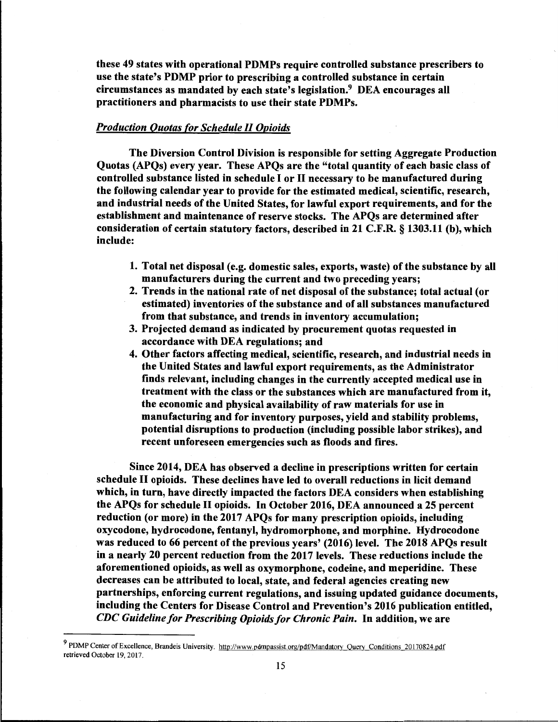these 49 states with operational PDMPs require controlled substance prescribers to use the state's PDMP prior to prescribing a controlled substance in certain circumstances as mandated by each state's legislation. $9\,$  DEA encourages all practitioners and pharmacists to use their state PDMPs.

## *Production Quotas for Schedule II Opioids*

The Diversion Control Division is responsible for setting Aggregate Production Quotas (APQs) every year. These APQs are the "total quantity of each basic class of controlled substance listed in schedule I or II necessary to be manufactured during the following calendar year to provide for the estimated medical, scientific, research, and industrial needs of the United States, for lawful export requirements, and for the establishment and maintenance of reserve stocks. The APQs are determined after consideration of certain statutory factors, described in 21 C.F.R. § 1303.11 (b), which include:

- 1. Total net disposal (e.g. domestic sales, exports, waste) of the substance by all manufacturers during the current and two preceding years;
- 2. Trends in the national rate of net disposal of the substance; total actual ( or estimated) inventories of the substance and of all substances manufactured from that substance, and trends in inventory accumulation;
- 3. Projected demand as indicated by procurement quotas requested in accordance with DEA regulations; and
- 4. Other factors affecting medical, scientific, research, and industrial needs in the United States and lawful export requirements, as the Administrator finds relevant, including changes in the currently accepted medical use in treatment with the class or the substances which are manufactured from it, the economic and physical availability of raw materials for use in manufacturing and for inventory purposes, yield and stability problems, potential disruptions to production (including possible labor strikes), and recent unforeseen emergencies such as floods and fires.

Since 2014, DEA has observed a decline in prescriptions written for certain schedule II opioids. These declines have led to overall reductions in licit demand which, in turn, have directly impacted the factors DEA considers when establishing the APQs for schedule II opioids. In October 2016, DEA announced a 25 percent reduction (or more) in the 2017 APQs for many prescription opioids, including oxycodone, hydrocodone, fentanyl, hydromorphone, and morphine. Hydrocodone was reduced to 66 percent of the previous years' (2016) level. The 2018 APQs result in a nearly 20 percent reduction from the 2017 levels. These reductions include the aforementioned opioids, as well as oxymorphone, codeine, and meperidine. These decreases can be attributed to local, state, and federal agencies creating new partnerships, enforcing current regulations, and issuing updated guidance documents, including the Centers for Disease Control and Prevention's 2016 publication entitled, *CDC Guideline for Prescribing Opioids for Chronic Pain.* In addition, we are

<sup>&</sup>lt;sup>9</sup> PDMP Center of Excellence, Brandeis University. http://www.pdmpassist.org/pdf/Mandatory Query Conditions 20170824.pdf retrieved October 19, 2017.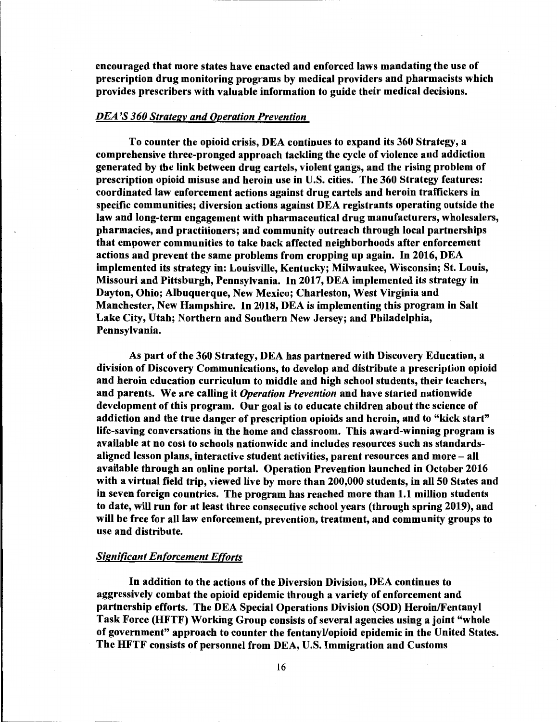encouraged that more states have enacted and enforced laws mandating the use of prescription drug monitoring programs by medical providers and pharmacists which provides prescribers with valuable information to guide their medical decisions.

## *DEA 'S 360 Strategy and Operation Prevention*

To counter the opioid crisis, DEA continues to expand its 360 Strategy, a comprehensive three-pronged approach tackling the cycle of violence and addiction generated by the link between drug cartels, violent gangs, and the rising problem of prescription opioid misuse and heroin use in U.S. cities. The 360 Strategy features: coordinated law enforcement actions against drug cartels and heroin traffickers in specific communities; diversion actions against DEA registrants operating outside the law and long-term engagement with pharmaceutical drug manufacturers, wholesalers, pharmacies, and practitioners; and community outreach through local partnerships that empower communities to take back affected neighborhoods after enforcement actions and prevent the same problems from cropping up again. In 2016, DEA implemented its strategy in: Louisville, Kentucky; Milwaukee, Wisconsin; St. Louis, Missouri and Pittsburgh, Pennsylvania. In 2017, DEA implemented its strategy in Dayton, Ohio; Albuquerque, New Mexico; Charleston, West Virginia and Manchester, New Hampshire. In 2018, DEA is implementing this program in Salt Lake City, Utah; Northern and Southern New Jersey; and Philadelphia, Pennsylvania.

As part of the 360 Strategy, DEA has partnered with Discovery Education, a division of Discovery Communications, to develop and distribute a prescription opioid and heroin education curriculum to middle and high school students, their teachers, and parents. We are calling it *Operation Prevention* and have started nationwide development of this program. Our goal is to educate children about the science of addiction and the true danger of prescription opioids and heroin, and to "kick start" life-saving conversations in the home and classroom. This award-winning program is available at no cost to schools nationwide and includes resources such as standardsaligned lesson plans, interactive student activities, parent resources and more - all available through an online portal. Operation Prevention launched in October 2016 with a virtual field trip, viewed live by more than 200,000 students, in all 50 States and in seven foreign countries. The program has reached more than 1.1 million students to date, will run for at least three consecutive school years (through spring 2019), and will be free for all law enforcement, prevention, treatment, and community groups to use and distribute.

## *Significant Enforcement Efforts*

In addition to the actions of the Diversion Division, DEA continues to aggressively combat the opioid epidemic through a variety of enforcement and partnership efforts. The DEA Special Operations Division (SOD) Heroin/Fentanyl Task Force (HFTF) Working Group consists of several agencies using a joint "whole of government" approach to counter the fentanyl/opioid epidemic in the United States. The HFTF consists of personnel from DEA, U.S. Immigration and Customs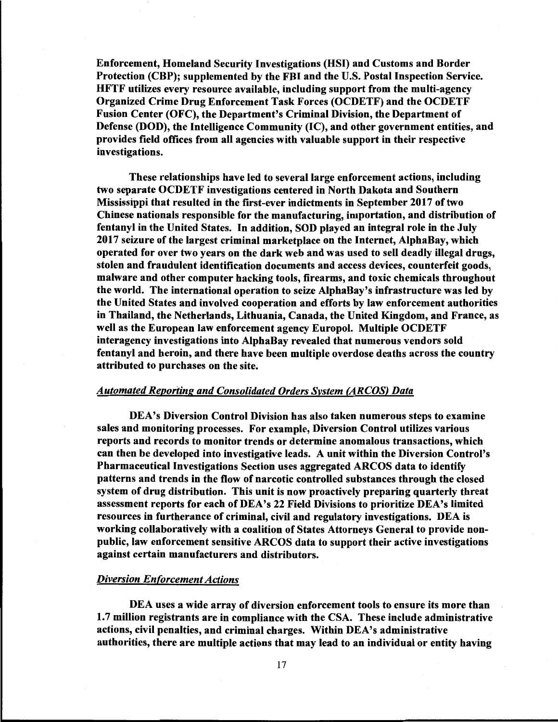Enforcement, Homeland Security Investigations (HSI) and Customs and Border Protection (CBP); supplemented by the FBI and the U.S. Postal Inspection Service. HFTF utilizes every resource available, including support from the multi-agency Organized Crime Drug Enforcement Task Forces (OCDETF) and the OCDETF Fusion Center (OFC), the Department's Criminal Division, the Department of Defense (DOD), the Intelligence Community (IC), and other government entities, and provides field offices from all agencies with valuable support in their respective investigations.

These relationships have led to several large enforcement actions, including two separate OCDETF investigations centered in North Dakota and Southern Mississippi that resulted in the first-ever indictments in September 2017 of two Chinese nationals responsible for the manufacturing, importation, and distribution of fentanyl in the United States. In addition, SOD played an integral role in the July 2017 seizure of the largest criminal marketplace on the Internet, AlphaBay, which operated for over two years on the dark web and was used to sell deadly illegal drugs, stolen and fraudulent identification documents and access devices, counterfeit goods, malware and other computer hacking tools, firearms, and toxic chemicals throughout the world. The international operation to seize AlphaBay's infrastructure was led by the United States and involved cooperation and efforts by law enforcement authorities in Thailand, the Netherlands, Lithuania, Canada, the United Kingdom, and France, as well as the European law enforcement agency Europol. Multiple OCDETF interagency investigations into AlphaBay revealed that numerous vendors sold fentanyl and heroin, and there have been multiple overdose deaths across the country attributed to purchases on the site.

#### *Automated Reporting and Consolidated Orders System (ARCOS) Data*

DEA's Diversion Control Division has also taken numerous steps to examine sales and monitoring processes. For example, Diversion Control utilizes various reports and records to monitor trends or determine anomalous transactions, which can then be developed into investigative leads. A unit within the Diversion Control's Pharmaceutical Investigations Section uses aggregated ARCOS data to identify patterns and trends in the flow of narcotic controlled substances through the closed system of drug distribution. This unit is now proactively preparing quarterly threat assessment reports for each of DEA's 22 Field Divisions to prioritize DEA's limited resources in furtherance of criminal, civil and regulatory investigations. DEA is working collaboratively with a coalition of States Attorneys General to provide nonpublic, law enforcement sensitive ARCOS data to support their active investigations against certain manufacturers and distributors.

## *Diversion Enforcement Actions*

DEA uses a wide array of diversion enforcement tools to ensure its more than 1.7 million registrants are in compliance with the CSA. These include administrative actions, civil penalties, and criminal charges. Within DEA's administrative authorities, there are multiple actions that may lead to an individual or entity having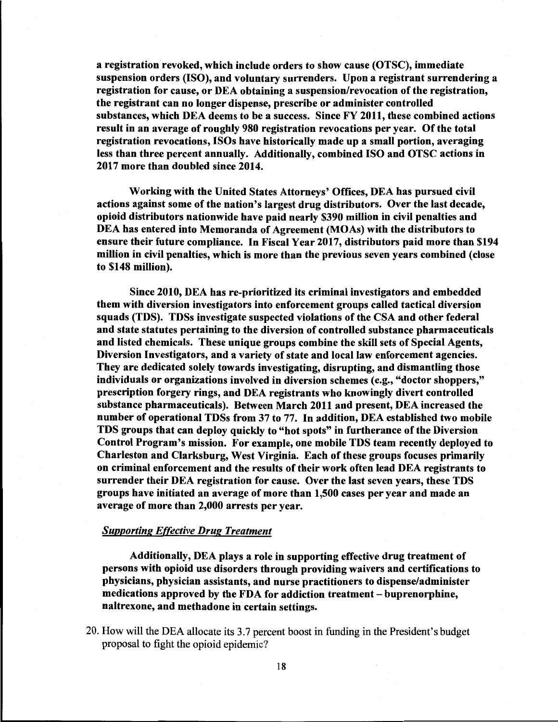a registration revoked, which include orders to show cause (OTSC), immediate suspension orders (ISO), and voluntary surrenders. Upon a registrant surrendering a registration for cause, or DEA obtaining a suspension/revocation of the registration, the registrant can no longer dispense, prescribe or administer controlled substances, which DEA deems to be a success. Since FY 2011, these combined actions result in an average of roughly 980 registration revocations per year. Of the total registration revocations, ISOs have historically made up a small portion, averaging less than three percent annually. Additionally, combined ISO and OTSC actions in 2017 more than doubled since 2014.

Working with the United States Attorneys' Offices, DEA has pursued civil actions against some of the nation's largest drug distributors. Over the last decade, opioid distributors nationwide have paid nearly \$390 million in civil penalties and DEA has entered into Memoranda of Agreement (MOAs) with the distributors to ensure their future compliance. In Fiscal Year 2017, distributors paid more than \$194 million in civil penalties, which is more than the previous seven years combined ( close to \$148 million).

Since 2010, DEA has re-prioritized its criminal investigators and embedded them with diversion investigators into enforcement groups called tactical diversion squads (TDS). TDSs investigate suspected violations of the CSA and other federal and state statutes pertaining to the diversion of controlled substance pharmaceuticals and listed chemicals. These unique groups combine the skill sets of Special Agents, Diversion Investigators, and a variety of state and local law enforcement agencies. They are dedicated solely towards investigating, disrupting, and dismantling those individuals or organizations involved in diversion schemes (e.g., "doctor shoppers," prescription forgery rings, and DEA registrants who knowingly divert controlled substance pharmaceuticals). Between March 2011 and present, DEA increased the number of operational TDSs from 37 to 77. In addition, DEA established two mobile TDS groups that can deploy quickly to "hot spots" in furtherance of the Diversion Control Program's mission. For example, one mobile TDS team recently deployed to Charleston and Clarksburg, West Virginia. Each of these groups focuses primarily on criminal enforcement and the results of their work often lead DEA registrants to surrender their DEA registration for cause. Over the last seven years, these TDS groups have initiated an average of more than 1,500 cases per year and made an average of more than 2,000 arrests per year.

#### *Supporting Effective Drug Treatment*

Additionally, DEA plays a role in supporting effective drug treatment of persons with opioid use disorders through providing waivers and certifications to physicians, physician assistants, and nurse practitioners to dispense/administer medications approved by the FDA for addiction treatment - buprenorphine, naltrexone, and methadone in certain settings.

20. How will the DEA allocate its 3.7 percent boost in funding in the President's budget proposal to fight the opioid epidemic?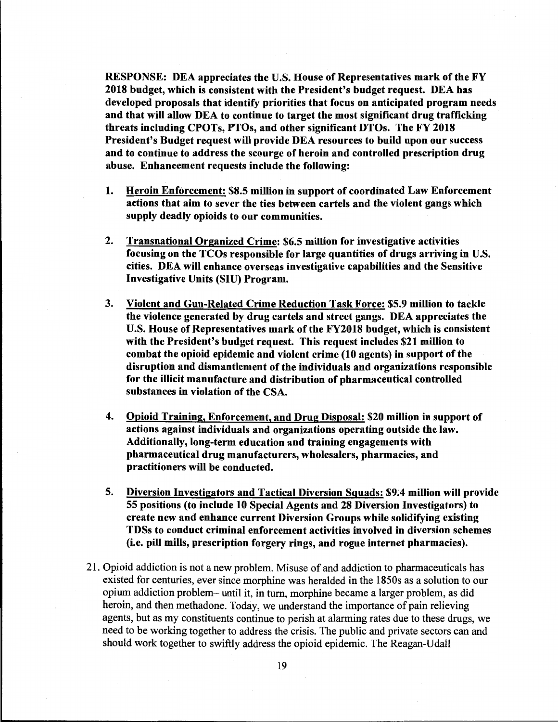**RESPONSE: DEA appreciates the U.S. House of Representatives mark of the FY 2018 budget, which is consistent with the President's budget request. DEA has developed proposals that identify priorities that focus on anticipated program needs and that will allow DEA to continue to target the most significant drug trafficking threats including CPOTs, PTOs, and other significant DTOs. The FY 2018 President's Budget request will provide DEA resources to build upon our success and to continue to address the scourge of heroin and controlled prescription drug abuse. Enhancement requests include the following:** 

- **1. Heroin Enforcement: \$8.5 million in support of coordinated Law Enforcement actions that aim to sever the ties between cartels and the violent gangs which supply deadly opioids to our communities.**
- **2. Transnational Organized Crime: \$6.5 million for investigative activities focusing on the TCOs responsible for large quantities of drugs arriving in U.S. cities. DEA will enhance overseas investigative capabilities and the Sensitive Investigative Units (SIU) Program.**
- **3. Violent and Gun-Related Crime Reduction Task Force: \$5.9 million to tackle the violence generated by drug cartels and street gangs. DEA appreciates the U.S. House of Representatives mark of the FY2018 budget, which is consistent with the President's budget request. This request includes \$21 million to combat the opioid epidemic and violent crime (10 agents) in support of the disruption and dismantlement of the individuals and organizations responsible for the illicit manufacture and distribution of pharmaceutical controlled substances in violation of the CSA.**
- **4. Opioid Training, Enforcement, and Drug Disposal: \$20 million in support of actions against individuals and organizations operating outside the law. Additionally, long-term education and training engagements with pharmaceutical drug manufacturers, wholesalers, pharmacies, and practitioners will be conducted.**
- **5. Diversion Investigators and Tactical Diversion Squads: \$9;4 million will provide 55 positions (to include 10 Special Agents and 28 Diversion Investigators) to create new and enhance current Diversion Groups while solidifying existing TDSs to conduct criminal enforcement activities involved in diversion schemes (i.e. pill mills, prescription forgery rings, and rogue internet pharmacies).**
- 21. Opioid addiction is not a new problem. Misuse of and addiction to pharmaceuticals has existed for centuries, ever since morphine was heralded in the 1850s as a solution to our opium addiction problem- until it, in turn, morphine became a larger problem, as did heroin, and then methadone. Today, we understand the importance of pain relieving agents, but as my constituents continue to perish at alarming rates due to these drugs, we need to be working together to address the crisis. The public and private sectors can and should work together to swiftly address the opioid epidemic. The Reagan-Udall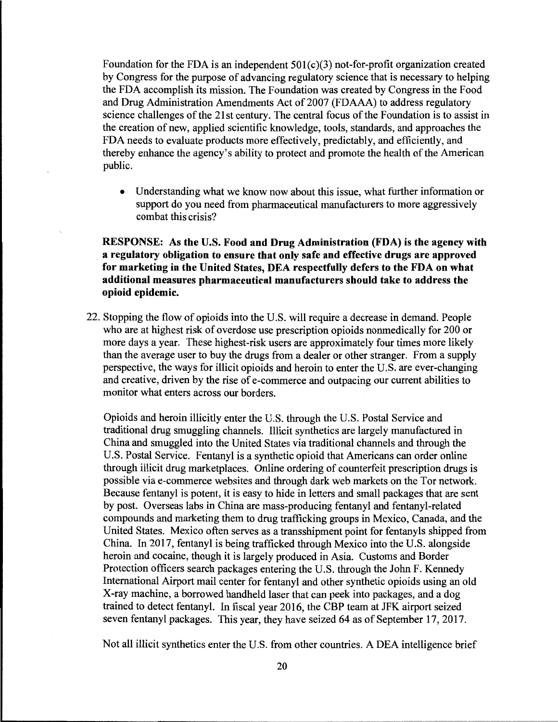Foundation for the FDA is an independent  $501(c)(3)$  not-for-profit organization created by Congress for the purpose of advancing regulatory science that is necessary to helping the FDA accomplish its mission. The Foundation was created by Congress in the Food and Drug Administration Amendments Act of 2007 (FDAAA) to address regulatory science challenges of the 21st century. The central focus of the Foundation is to assist in the creation of new, applied scientific knowledge, tools, standards, and approaches the FDA needs to evaluate products more effectively, predictably, and efficiently, and thereby enhance the agency's ability to protect and promote the health of the American public.

• Understanding what we know now about this issue, what further information or support do you need from pharmaceutical manufacturers to more aggressively combat this crisis?

**RESPONSE: As the U.S. Food and Drug Administration (FDA) is the agency with a regulatory obligation to ensure that only safe and effective drugs are approved for marketing in the United States, DEA respectfully defers to the FDA on what additional measures pharmaceutical manufacturers should take to address the opioid epidemic.** 

22. Stopping the flow of opioids into the U.S. will require a decrease in demand. People who are at highest risk of overdose use prescription opioids nonmedically for 200 or more days a year. These highest-risk users are approximately four times more likely than the average user to buy the drugs from a dealer or other stranger. From a supply perspective, the ways for illicit opioids and heroin to enter the U.S. are ever-changing and creative, driven by the rise of e-commerce and outpacing our current abilities to monitor what enters across our borders.

Opioids and heroin illicitly enter the U.S. through the U.S. Postal Service and traditional drug smuggling channels. Illicit synthetics are largely manufactured in China and smuggled into the United States via traditional channels and through the U.S. Postal Service. Fentanyl is a synthetic opioid that Americans can order online through illicit drug marketplaces. Online ordering of counterfeit prescription drugs is possible via e-commerce websites and through dark web markets on the Tor network. Because fentanyl is potent, it is easy to hide in letters and small packages that are sent by post. Overseas labs in China are mass-producing fentanyl and fentanyl-related compounds and marketing them to drug trafficking groups in Mexico, Canada, and the United States. Mexico often serves as a transshipment point for fentanyls shipped from China. In 2017, fentanyl is being trafficked through Mexico into the U.S. alongside heroin and cocaine, though it is largely produced in Asia. Customs and Border Protection officers search packages entering the U.S. through the John F. Kennedy International Airport mail center for fentanyl and other synthetic opioids using an old X-ray machine, a borrowed handheld laser that can peek into packages, and a dog trained to detect fentanyl. In fiscal year 2016, the CBP team at JFK airport seized seven fentanyl packages. This year, they have seized 64 as of September 17, 2017.

Not all illicit synthetics enter the U.S. from other countries. A DEA intelligence brief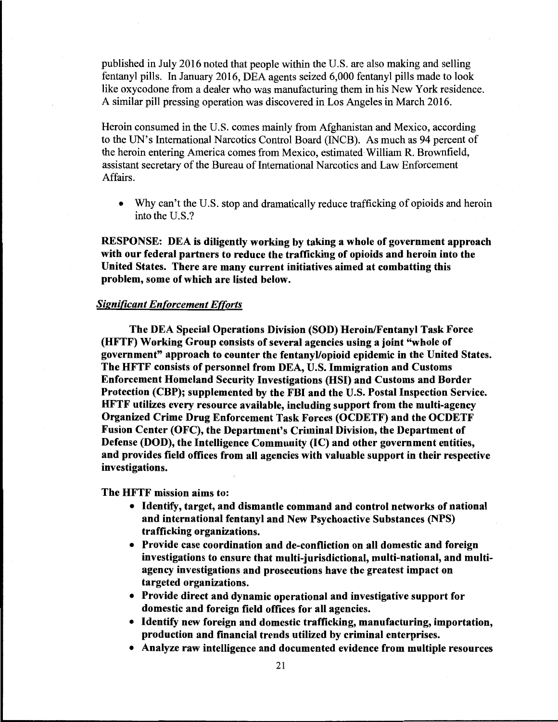published in July 2016 noted that people within the U.S. are also making and selling fentanyl pills. In January 2016, DEA agents seized 6,000 fentanyl pills made to look like oxycodone from a dealer who was manufacturing them in his New York residence. A similar pill pressing operation was discovered in Los Angeles in March 2016.

Heroin consumed in the U.S. comes mainly from Afghanistan and Mexico, according to the UN's International Narcotics Control Board (INCB). As much as 94 percent of the heroin entering America comes from Mexico, estimated William R. Brownfield, assistant secretary of the Bureau of International Narcotics and Law Enforcement Affairs.

• Why can't the U.S. stop and dramatically reduce trafficking of opioids and heroin into the U.S.?

**RESPONSE: DEA is diligently working by taking a whole of government approach with our federal partners to reduce the trafficking of opioids and heroin into the United States. There are many current initiatives aimed at combatting this problem, some of which are listed below.** 

### *Significant Enforcement Efforts*

**The DEA Special Operations Division (SOD) Heroin/Fentanyl Task Force (HFTF) Working Group consists of several agencies using a joint "whole of government" approach to counter the fentanyl/opioid epidemic in the United States. The HFTF consists of personnel from DEA, U.S. Immigration and Customs Enforcement Homeland Security Investigations (HSI) and Customs and Border Protection (CBP); supplemented by the FBI and the U.S. Postal Inspection Service. HFTF utilizes every resource available, including support from the multi-agency Organized Crime Drug Enforcement Task Forces (OCDETF) and the OCDETF Fusion Center (OFC), the Department's Criminal Division, the Department of Defense (DOD), the Intelligence Community (IC) and other government entities, and provides field offices from all agencies with valuable support in their respective investigations.** 

The HFTF mission aims to:

- Identify, target, and dismantle command and control networks of national and international fentanyl and New Psychoactive Substances (NPS) trafficking organizations.
- Provide case coordination and de-confliction on all domestic and foreign investigations to ensure that multi-jurisdictional, multi-national, and multiagency investigations and prosecutions have the greatest impact on targeted organizations.
- Provide direct and dynamic operational and investigative support for domestic and foreign field offices for all agencies.
- Identify new foreign and domestic trafficking, manufacturing, importation, production and financial trends utilized by criminal enterprises.
- Analyze raw intelligence and documented evidence from multiple resources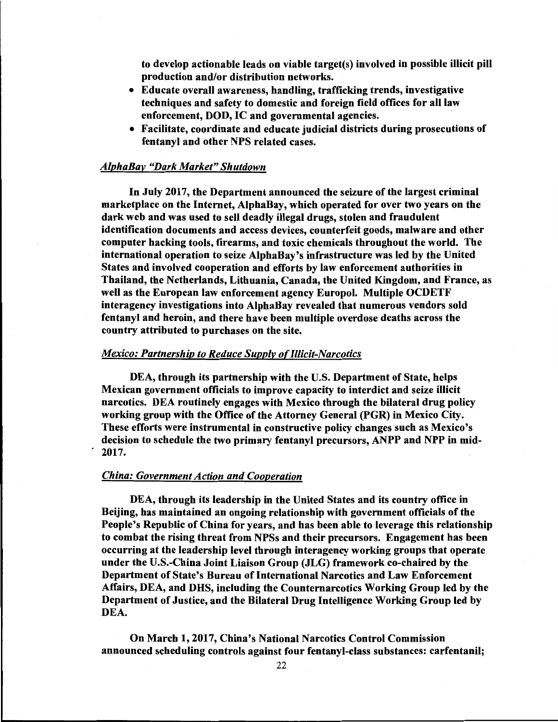to develop actionable leads on viable target(s) involved in possible illicit pill production and/or distribution networks.

- Educate overall awareness, handling, trafficking trends, investigative techniques and safety to domestic and foreign field offices for all law enforcement, **DOD,** IC and governmental agencies.
- Facilitate, coordinate and educate judicial districts during prosecutions of fentanyl and other NPS related cases.

## *AlphaBay "Dark Market" Shutdown*

In July 2017, the Department announced the seizure of the largest criminal marketplace on the Internet, AlphaBay, which operated for over two years on the dark web and was used to sell deadly illegal drugs, stolen and fraudulent identification documents and access devices, counterfeit goods, malware and other computer hacking tools, firearms, and toxic chemicals throughout the world. The international operation to seize AlphaBay's infrastructure was led by the United States and involved cooperation and efforts by law enforcement authorities in Thailand, the Netherlands, Lithuania, Canada, the United Kingdom, and France, as well as the European law enforcement agency Europol. Multiple OCDETF interagency investigations into AlphaBay revealed that numerous vendors sold fentanyl and heroin, and there have been multiple overdose deaths across the country attributed to purchases on the site.

#### *Mexico: Partnership to Reduce Supply of Illicit-Narcotics*

DEA, through its partnership with the U.S. Department of State, helps Mexican government officials to improve capacity to interdict and seize illicit narcotics. DEA routinely engages with Mexico through the bilateral drug policy working group with the Office of the Attorney General **(PGR)** in Mexico City. These efforts were instrumental in constructive policy changes such as Mexico's decision to schedule the two primary fentanyl precursors, ANPP and NPP in mid- . 2017.

#### *China: Government Action and Cooperation*

DEA, through its leadership in the United States and its country office in Beijing, has maintained an ongoing relationship with government officials of the People's Republic of China for years, and has been able to leverage this relationship to combat the rising threat from NPSs and their precursors. Engagement has been occurring at the leadership level through interagency working groups that operate under the U.S.-China Joint Liaison Group **(JLG)** framework co-chaired by the Department of State's Bureau of International Narcotics and Law Enforcement Affairs, DEA, and **DHS,** including the Counternarcotics Working Group led by the Department of Justice, and the Bilateral Drug Intelligence Working Group led by DEA.

On March 1, 2017, China's National Narcotics Control Commission announced scheduling controls against four fentanyl-class substances: carfentanil;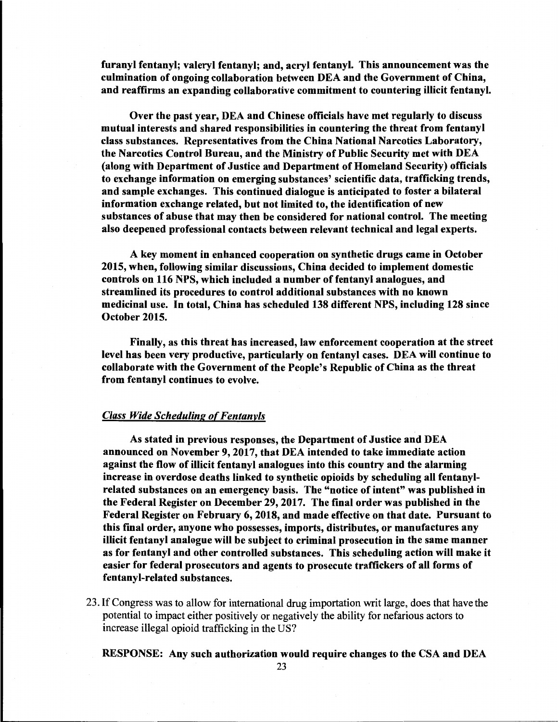furanyl fentanyl; valeryl fentanyl; and, acryl fentanyl. This announcement was the culmination of ongoing collaboration between DEA and the Government of China, and reaffirms an expanding collaborative commitment to countering illicit fentanyl.

Over the past year, DEA and Chinese officials have met regularly to discuss mutual interests and shared responsibilities in countering the threat from fentanyl class substances. Representatives from the China National Narcotics Laboratory, the Narcotics Control Bureau, and the Ministry of Public Security met with DEA (along with Department of Justice and Department of Homeland Security) officials to exchange information on emerging substances' scientific data, trafficking trends, and sample exchanges. This continued dialogue is anticipated to foster a bilateral information exchange related, but not limited to, the identification of new substances of abuse that may then be considered for national control. The meeting also deepened professional contacts between relevant technical and legal experts.

A key moment in enhanced cooperation on synthetic drugs came in October 2015, when, following similar discussions, China decided to implement domestic controls on 116 NPS, which included a number of fentanyl analogues, and streamlined its procedures to control additional substances with no known medicinal use. In total, China has scheduled 138 different NPS, including 128 since October 2015.

Finally, as this threat has increased, law enforcement cooperation at the street level has been very productive, particularly on fentanyl cases. DEA will continue to collaborate with the Government of the People's Republic of China as the threat from fentanyl continues to evolve.

#### *Class Wide Scheduling o{Fentanyls*

As stated in previous responses, the Department of Justice and DEA announced on November 9, 2017, that DEA intended to take immediate action against the flow of illicit fentanyl analogues into this country and the alarming increase in overdose deaths linked to synthetic opioids by scheduling all fentanylrelated substances on an emergency basis. The "notice of intent" was published in the Federal Register on December 29, 2017. The final order was published in the Federal Register on February 6, 2018, and made effective on that date. Pursuant to this final order, anyone who possesses, imports, distributes, or manufactures any illicit fentanyl analogue will be subject to criminal prosecution in the same manner as for fentanyl and other controlled substances. This scheduling action will make it easier for federal prosecutors and agents to prosecute traffickers of all forms of fentanyl-related substances.

23. If Congress was to allow for international drug importation writ large, does that have the potential to impact either positively or negatively the ability for nefarious actors to increase illegal opioid trafficking in the US?

RESPONSE: Any such authorization would require changes to the CSA and DEA